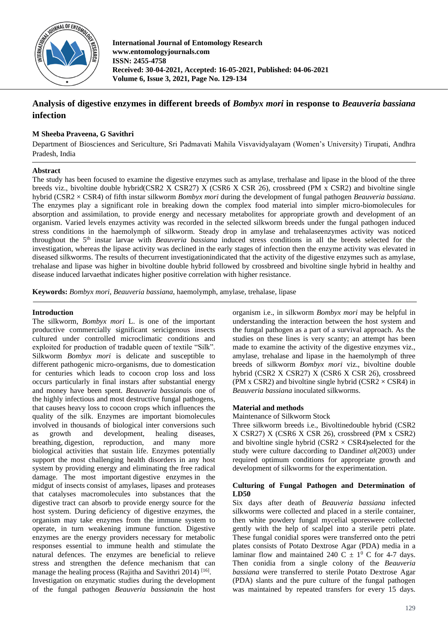

**International Journal of Entomology Research www.entomologyjournals.com ISSN: 2455-4758 Received: 30-04-2021, Accepted: 16-05-2021, Published: 04-06-2021 Volume 6, Issue 3, 2021, Page No. 129-134**

# **Analysis of digestive enzymes in different breeds of** *Bombyx mori* **in response to** *Beauveria bassiana* **infection**

## **M Sheeba Praveena, G Savithri**

Department of Biosciences and Sericulture, Sri Padmavati Mahila Visvavidyalayam (Women's University) Tirupati, Andhra Pradesh, India

## **Abstract**

The study has been focused to examine the digestive enzymes such as amylase, trerhalase and lipase in the blood of the three breeds viz., bivoltine double hybrid(CSR2 X CSR27) X (CSR6 X CSR 26), crossbreed (PM x CSR2) and bivoltine single hybrid (CSR2 × CSR4) of fifth instar silkworm *Bombyx mori* during the development of fungal pathogen *Beauveria bassiana*. The enzymes play a significant role in breaking down the complex food material into simpler micro-biomolecules for absorption and assimilation, to provide energy and necessary metabolites for appropriate growth and development of an organism. Varied levels enzymes activity was recorded in the selected silkworm breeds under the fungal pathogen induced stress conditions in the haemolymph of silkworm. Steady drop in amylase and trehalaseenzymes activity was noticed throughout the 5th instar larvae with *Beauveria bassiana* induced stress conditions in all the breeds selected for the investigation, whereas the lipase activity was declined in the early stages of infection then the enzyme activity was elevated in diseased silkworms. The results of thecurrent investigationindicated that the activity of the digestive enzymes such as amylase, trehalase and lipase was higher in bivoltine double hybrid followed by crossbreed and bivoltine single hybrid in healthy and disease induced larvaethat indicates higher positive correlation with higher resistance.

**Keywords:** *Bombyx mori*, *Beauveria bassiana*, haemolymph, amylase, trehalase, lipase

## **Introduction**

The silkworm, *Bombyx mori* L. is one of the important productive commercially significant sericigenous insects cultured under controlled microclimatic conditions and exploited for production of tradable queen of textile "Silk". Silkworm *Bombyx mori* is delicate and susceptible to different pathogenic micro-organisms, due to domestication for centuries which leads to cocoon crop loss and loss occurs particularly in final instars after substantial energy and money have been spent. *Beauveria bassiana*is one of the highly infectious and most destructive fungal pathogens, that causes heavy loss to cocoon crops which influences the quality of the silk. Enzymes are important biomolecules involved in thousands of biological inter conversions such as growth and development, healing diseases, breathing, digestion, reproduction, and many more biological activities that sustain life. Enzymes potentially support the most challenging health disorders in any host system by providing energy and eliminating the free radical damage. The most important digestive enzymes in the midgut of insects consist of amylases, lipases and proteases that catalyses macromolecules into substances that the digestive tract can absorb to provide energy source for the host system. During deficiency of digestive enzymes, the organism may take enzymes from the immune system to operate, in turn weakening immune function. Digestive enzymes are the energy providers necessary for metabolic responses essential to immune health and stimulate the natural defences. The enzymes are beneficial to relieve stress and strengthen the defence mechanism that can manage the healing process (Rajitha and Savithri 2014)<sup>[16]</sup>. Investigation on enzymatic studies during the development of the fungal pathogen *Beauveria bassiana*in the host organism i.e., in silkworm *Bombyx mori* may be helpful in understanding the interaction between the host system and the fungal pathogen as a part of a survival approach. As the studies on these lines is very scanty; an attempt has been made to examine the activity of the digestive enzymes viz., amylase, trehalase and lipase in the haemolymph of three breeds of silkworm *Bombyx mori* viz., bivoltine double hybrid (CSR2 X CSR27) X (CSR6 X CSR 26), crossbreed (PM x CSR2) and bivoltine single hybrid (CSR2  $\times$  CSR4) in *Beauveria bassiana* inoculated silkworms.

## **Material and methods**

## Maintenance of Silkworm Stock

Three silkworm breeds i.e., Bivoltinedouble hybrid (CSR2 X CSR27) X (CSR6 X CSR 26), crossbreed (PM x CSR2) and bivoltine single hybrid  $(CSR2 \times CSR4)$ selected for the study were culture daccording to Dandin*et al*(2003) under required optimum conditions for appropriate growth and development of silkworms for the experimentation.

## **Culturing of Fungal Pathogen and Determination of LD50**

Six days after death of *Beauveria bassiana* infected silkworms were collected and placed in a sterile container, then white powdery fungal mycelial sporeswere collected gently with the help of scalpel into a sterile petri plate. These fungal conidial spores were transferred onto the petri plates consists of Potato Dextrose Agar (PDA) media in a laminar flow and maintained 240 C  $\pm$  1<sup>0</sup> C for 4-7 days. Then conidia from a single colony of the *Beauveria bassiana* were transferred to sterile Potato Dextrose Agar (PDA) slants and the pure culture of the fungal pathogen was maintained by repeated transfers for every 15 days.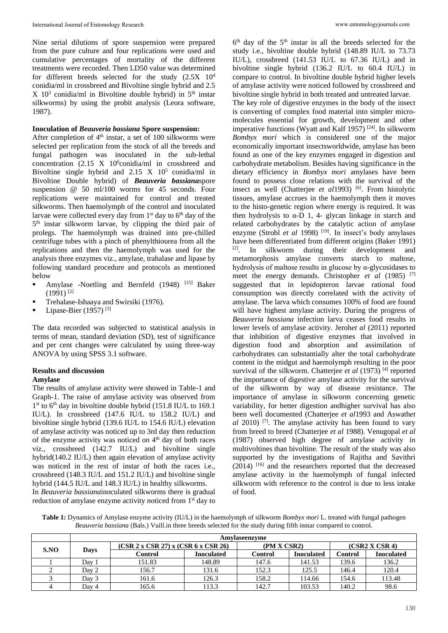Nine serial dilutions of spore suspension were prepared from the pure culture and four replications were used and cumulative percentages of mortality of the different treatments were recorded. Then LD50 value was determined for different breeds selected for the study (2.5X 10<sup>4</sup> conidia/ml in crossbreed and Bivoltine single hybrid and 2.5  $X$  10<sup>3</sup> conidia/ml in Bivoltine double hybrid) in  $5<sup>th</sup>$  instar silkworms) by using the probit analysis (Leora software, 1987).

## **Inoculation of** *Beauveria bassiana* **Spore suspension:**

After completion of  $4<sup>th</sup>$  instar, a set of 100 silkworms were selected per replication from the stock of all the breeds and fungal pathogen was inoculated in the sub-lethal concentration  $(2.15 \text{ X } 10^6 \text{conidi } / \text{ml} \text{ in } \text{crossbreed } \text{and} \text{ }$ Bivoltine single hybrid and  $2.15$  X  $10^5$  conidia/ml in Bivoltine Double hybrid) of *Beauveria bassiana*spore suspension @ 50 ml/100 worms for 45 seconds. Four replications were maintained for control and treated silkworms. Then haemolymph of the control and inoculated larvae were collected every day from  $1<sup>st</sup>$  day to  $6<sup>th</sup>$  day of the 5<sup>th</sup> instar silkworm larvae, by clipping the third pair of prolegs. The haemolymph was drained into pre-chilled centrifuge tubes with a pinch of phenylthiourea from all the replications and then the haemolymph was used for the analysis three enzymes viz., amylase, trahalase and lipase by following standard procedure and protocols as mentioned below

- Amylase -Noetling and Bernfeld (1948) [15] Baker  $(1991)$ <sup>[2]</sup>
- **•** Trehalase-Ishaaya and Swirsiki (1976).
- Lipase-Bier (1957)  $[3]$

The data recorded was subjected to statistical analysis in terms of mean, standard deviation (SD), test of significance and per cent changes were calculated by using three-way ANOVA by using SPSS 3.1 software.

## **Results and discussion**

## **Amylase**

The results of amylase activity were showed in Table-1 and Graph-1. The raise of amylase activity was observed from 1<sup>st</sup> to 6<sup>th</sup> day in bivoltine double hybrid (151.8 IU/L to 169.1) IU/L). In crossbreed (147.6 IU/L to 158.2 IU/L) and bivoltine single hybrid (139.6 IU/L to 154.6 IU/L) elevation of amylase activity was noticed up to 3rd day then reduction of the enzyme activity was noticed on 4<sup>th</sup> day of both races viz., crossbreed (142.7 IU/L) and bivoltine single hybrid(140.2 IU/L) then again elevation of amylase activity was noticed in the rest of instar of both the races i.e., crossbreed (148.3 IU/L and 151.2 IU/L) and bivoltine single hybrid (144.5 IU/L and 148.3 IU/L) in healthy silkworms. In *Beauveria bassiana*inoculated silkworms there is gradual reduction of amylase enzyme activity noticed from 1<sup>st</sup> day to

6<sup>th</sup> day of the 5<sup>th</sup> instar in all the breeds selected for the study i.e., bivoltine double hybrid (148.89 IU/L to 73.73 IU/L), crossbreed (141.53 IU/L to 67.36 IU/L) and in bivoltine single hybrid (136.2 IU/L to 60.4 IU/L) in compare to control. In bivoltine double hybrid higher levels of amylase activity were noticed followed by crossbreed and bivoltine single hybrid in both treated and untreated larvae.

The key role of digestive enzymes in the body of the insect is converting of complex food material into simpler micromolecules essential for growth, development and other imperative functions (Wyatt and Kalf 1957)  $[24]$ . In silkworm *Bombyx mori* which is considered one of the major economically important insectsworldwide, amylase has been found as one of the key enzymes engaged in digestion and carbohydrate metabolism. Besides having significance in the dietary efficiency in *Bombyx mori* amylases have been found to possess close relations with the survival of the insect as well (Chatterjee *et al*1993) <sup>[6]</sup>. From histolytic tissues, amylase accrues in the haemolymph then it moves to the histo-genetic region where energy is required. It was then hydrolysis to  $\alpha$ -D 1, 4- glycan linkage in starch and related carbohydrates by the catalytic action of amylase enzyme (Strobl *et al* 1998)<sup>[19]</sup>. In insect's body amylases have been differentiated from different origins (Baker 1991) [2]. In silkworm during their development and metamorphosis amylase converts starch to maltose, hydrolysis of maltose results in glucose by  $\alpha$ -glycosidases to meet the energy demands. Christopher *et al* (1985) [7] suggested that in lepidopteron larvae rational food consumption was directly correlated with the activity of amylase. The larva which consumes 100% of food are found will have highest amylase activity. During the progress of *Beauveria bassiana* infection larva ceases food results in lower levels of amylase activity. Jeroh*et al* (2011) reported that inhibition of digestive enzymes that involved in digestion food and absorption and assimilation of carbohydrates can substantially alter the total carbohydrate content in the midgut and haemolymph resulting in the poor survival of the silkworm. Chatterjee *et al* (1973) [4] reported the importance of digestive amylase activity for the survival of the silkworm by way of disease resistance. The importance of amylase in silkworm concerning genetic variability, for better digestion andhigher survival has also been well documented (Chatterjee *et al*1993 and Aswath*et al* 2010) [7]. The amylase activity has been found to vary from breed to breed (Chatterjee *et al* 1988). Venugopal *et al* (1987) observed high degree of amylase activity in multivoltines than bivoltine. The result of the study was also supported by the investigations of Rajitha and Savithri  $(2014)$  [16] and the researchers reported that the decreased amylase activity in the haemolymph of fungal infected silkworm with reference to the control is due to less intake of food.

**Table 1:** Dynamics of Amylase enzyme activity (IU/L) in the haemolymph of silkworm *Bombyx mori* L. treated with fungal pathogen *Beauveria bassiana* (Bals.) Vuill.in three breeds selected for the study during fifth instar compared to control.

|      | Amvlaseenzyme |                                     |                   |                |                   |                |                   |  |  |  |
|------|---------------|-------------------------------------|-------------------|----------------|-------------------|----------------|-------------------|--|--|--|
| S.NO | Davs          | (CSR 2 x CSR 27) x (CSR 6 x CSR 26) |                   | (PM X CSR2)    |                   | (CSR2 X CSR 4) |                   |  |  |  |
|      |               | Control                             | <b>Inoculated</b> | <b>Control</b> | <b>Inoculated</b> | Control        | <b>Inoculated</b> |  |  |  |
|      | Day:          | 151.83                              | 148.89            | 147.6          | 141.53            | 139.6          | 136.2             |  |  |  |
|      | Dav 2         | 156.7                               | 131.6             | 152.3          | 125.5             | 146.4          | 120.4             |  |  |  |
|      | Day 3         | 161.6                               | 126.3             | 158.2          | 114.66            | 154.6          | 113.48            |  |  |  |
|      | Dav 4         | 165.6                               | 113.3             | 142.7          | 103.53            | 140.2          | 98.6              |  |  |  |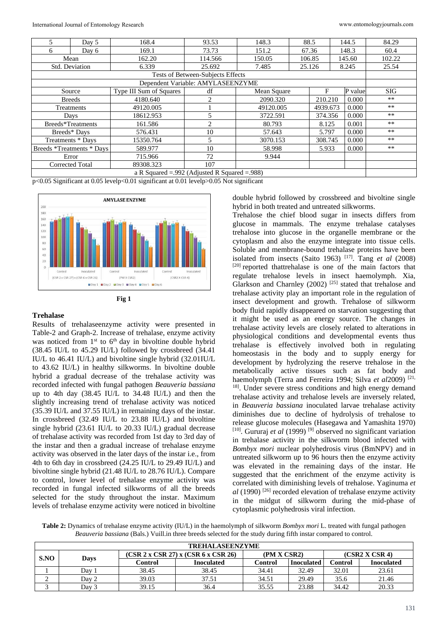| 5                                                   | Day 5         | 168.4                   | 93.53                             | 148.3       | 88.5    |          | 144.5   | 84.29  |  |
|-----------------------------------------------------|---------------|-------------------------|-----------------------------------|-------------|---------|----------|---------|--------|--|
| 6                                                   | Day 6         | 169.1                   | 73.73                             | 151.2       | 67.36   |          | 148.3   | 60.4   |  |
| Mean                                                |               | 162.20                  | 114.566                           | 150.05      | 106.85  |          | 145.60  | 102.22 |  |
| Std. Deviation                                      |               | 6.339                   | 25.692                            | 7.485       | 25.126  |          | 8.245   | 25.54  |  |
|                                                     |               |                         | Tests of Between-Subjects Effects |             |         |          |         |        |  |
|                                                     |               |                         | Dependent Variable: AMYLASEENZYME |             |         |          |         |        |  |
|                                                     | Source        | Type III Sum of Squares | df                                | Mean Square |         | F        | P value | SIG    |  |
|                                                     | <b>Breeds</b> | 4180.640                | 2                                 | 2090.320    |         | 210.210  | 0.000   | $***$  |  |
|                                                     | Treatments    | 49120.005               |                                   | 49120.005   |         | 4939.673 | 0.000   | $***$  |  |
| Days                                                |               | 18612.953               | 5                                 | 3722.591    | 374.356 |          | 0.000   | **     |  |
| Breeds*Treatments                                   |               | 161.586                 | $\overline{c}$                    | 80.793      | 8.125   |          | 0.001   | $***$  |  |
| Breeds* Days                                        |               | 576.431                 | 10                                | 57.643      | 5.797   |          | 0.000   | **     |  |
| Treatments * Days                                   |               | 15350.764               | 5                                 | 3070.153    | 308.745 |          | 0.000   | $***$  |  |
| Breeds *Treatments * Days                           |               | 589.977                 | 10                                | 58.998      | 5.933   |          | 0.000   | **     |  |
| Error                                               |               | 715.966                 | 72                                | 9.944       |         |          |         |        |  |
| 107<br>Corrected Total<br>89308.323                 |               |                         |                                   |             |         |          |         |        |  |
| a R Squared = $.992$ (Adjusted R Squared = $.988$ ) |               |                         |                                   |             |         |          |         |        |  |

p<0.05 Significant at 0.05 levelp<0.01 significant at 0.01 levelp>0.05 Not significant





## **Trehalase**

Results of trehalaseenzyme activity were presented in Table-2 and Graph-2. Increase of trehalase, enzyme activity was noticed from  $1<sup>st</sup>$  to  $6<sup>th</sup>$  day in bivoltine double hybrid (38.45 IU/L to 45.29 IU/L) followed by crossbreed (34.41 IU/L to 46.41 IU/L) and bivoltine single hybrid (32.01IU/L to 43.62 IU/L) in healthy silkworms. In bivoltine double hybrid a gradual decrease of the trehalase activity was recorded infected with fungal pathogen *Beauveria bassiana* up to 4th day (38.45 IU/L to 34.48 IU/L) and then the slightly increasing trend of trehalase activity was noticed (35.39 IU/L and 37.55 IU/L) in remaining days of the instar. In crossbreed (32.49 IU/L to 23.88 IU/L) and bivoltine single hybrid (23.61 IU/L to 20.33 IU/L) gradual decrease of trehalase activity was recorded from 1st day to 3rd day of the instar and then a gradual increase of trehalase enzyme activity was observed in the later days of the instar i.e., from 4th to 6th day in crossbreed (24.25 IU/L to 29.49 IU/L) and bivoltine single hybrid (21.48 IU/L to 28.76 IU/L). Compare to control, lower level of trehalase enzyme activity was recorded in fungal infected silkworms of all the breeds selected for the study throughout the instar. Maximum levels of trehalase enzyme activity were noticed in bivoltine double hybrid followed by crossbreed and bivoltine single hybrid in both treated and untreated silkworms.

Trehalose the chief blood sugar in insects differs from glucose in mammals. The enzyme trehalase catalyses trehalose into glucose in the organelle membrane or the cytoplasm and also the enzyme integrate into tissue cells. Soluble and membrane-bound trehalase proteins have been isolated from insects (Saito 1963) [17]. Tang *et al* (2008) [20] reported thattrehalase is one of the main factors that regulate trehalose levels in insect haemolymph. Xia, Glarkson and Charnley (2002)  $^{[25]}$  stated that trehalose and trehalase activity play an important role in the regulation of insect development and growth. Trehalose of silkworm body fluid rapidly disappeared on starvation suggesting that it might be used as an energy source. The changes in trehalase activity levels are closely related to alterations in physiological conditions and developmental events thus trehalase is effectively involved both in regulating homeostasis in the body and to supply energy for development by hydrolyzing the reserve trehalose in the metabolically active tissues such as fat body and haemolymph (Terra and Ferreira 1994; Silva *et al*2009)<sup>[21,</sup> <sup>18]</sup>. Under severe stress conditions and high energy demand trehalase activity and trehalose levels are inversely related, in *Beauveria bassiana* inoculated larvae trehalase activity diminishes due to decline of hydrolysis of trehalose to release glucose molecules (Hasegawa and Yamashita 1970)  $[10]$ . Gururaj *et al* (1999)<sup>[9]</sup> observed no significant variation in trehalase activity in the silkworm blood infected with *Bombyx mori* nuclear polyhedrosis virus (BmNPV) and in untreated silkworm up to 96 hours then the enzyme activity was elevated in the remaining days of the instar. He suggested that the enrichment of the enzyme activity is correlated with diminishing levels of trehalose. Yaginuma *et al* (1990) [26] recorded elevation of trehalase enzyme activity in the midgut of silkworm during the mid-phase of cytoplasmic polyhedrosis viral infection.

**Table 2:** Dynamics of trehalase enzyme activity (IU/L) in the haemolymph of silkworm *Bombyx mori* L. treated with fungal pathogen *Beauveria bassiana* (Bals.) Vuill.in three breeds selected for the study during fifth instar compared to control.

| <b>TREHALASEENZYME</b> |       |                                     |            |             |                   |                |                   |  |  |
|------------------------|-------|-------------------------------------|------------|-------------|-------------------|----------------|-------------------|--|--|
| SNO                    | Days  | (CSR 2 x CSR 27) x (CSR 6 x CSR 26) |            | (PM X CSR2) |                   | (CSR2 X CSR 4) |                   |  |  |
|                        |       | Control                             | Inoculated | Control     | <b>Inoculated</b> | Control        | <b>Inoculated</b> |  |  |
|                        | Dav   | 38.45                               | 38.45      | 34.41       | 32.49             | 32.01          | 23.61             |  |  |
| ∼                      | Dav 2 | 39.03                               | 37.51      | 34.51       | 29.49             | 35.6           | 21.46             |  |  |
|                        | Day 3 | 39.15                               | 36.4       | 35.55       | 23.88             | 34.42          | 20.33             |  |  |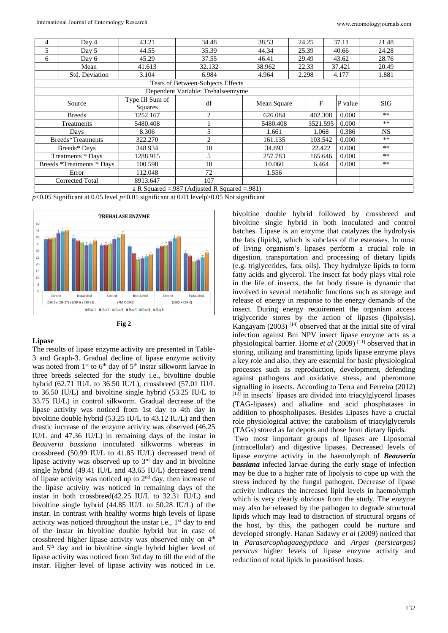| 4                 | Day 4                                               | 43.21                      | 34.48                              | 38.53       | 24.25 |          | 37.11   | 21.48      |  |
|-------------------|-----------------------------------------------------|----------------------------|------------------------------------|-------------|-------|----------|---------|------------|--|
| 5                 | Day 5                                               | 44.55                      | 35.39                              | 44.34       | 25.39 |          | 40.66   | 24.28      |  |
| 6                 | Day 6                                               | 45.29                      | 37.55                              | 46.41       | 29.49 |          | 43.62   | 28.76      |  |
|                   | Mean                                                | 41.613                     | 32.132                             | 38.962      | 22.33 |          | 37.421  | 20.49      |  |
|                   | Std. Deviation                                      | 3.104                      | 6.984                              | 4.964       | 2.298 |          | 4.177   | 1.881      |  |
|                   |                                                     |                            | Tests of Between-Subjects Effects  |             |       |          |         |            |  |
|                   |                                                     |                            | Dependent Variable: Trehalseenzyme |             |       |          |         |            |  |
| Source            |                                                     | Type III Sum of<br>Squares | df                                 | Mean Square |       | F        | P value | <b>SIG</b> |  |
|                   | <b>Breeds</b>                                       | 1252.167                   | 2                                  | 626.084     |       | 402.308  | 0.000   | $***$      |  |
|                   | Treatments                                          | 5480.408                   |                                    | 5480.408    |       | 3521.595 | 0.000   | $***$      |  |
|                   | Days                                                | 8.306                      | 5                                  | 1.661       |       | 1.068    |         | <b>NS</b>  |  |
| Breeds*Treatments |                                                     | 322.270                    | 2                                  | 161.135     |       | 103.542  | 0.000   | $***$      |  |
|                   | Breeds* Days                                        | 348.934                    | 10                                 | 34.893      |       | 22.422   | 0.000   | $***$      |  |
|                   | Treatments * Days                                   | 1288.915                   | $\overline{5}$                     | 257.783     |       | 165.646  | 0.000   | $**$       |  |
|                   | Breeds *Treatments * Days                           | 100.598                    | 10                                 | 10.060      |       | 6.464    |         | **         |  |
|                   | Error                                               | 112.048                    | 72                                 | 1.556       |       |          |         |            |  |
|                   | <b>Corrected Total</b><br>8913.647<br>107           |                            |                                    |             |       |          |         |            |  |
|                   | a R Squared = $.987$ (Adjusted R Squared = $.981$ ) |                            |                                    |             |       |          |         |            |  |

 $p<0.05$  Significant at 0.05 level  $p<0.01$  significant at 0.01 levelp $>0.05$  Not significant



#### **Fig 2**

## **Lipase**

The results of lipase enzyme activity are presented in Table-3 and Graph-3. Gradual decline of lipase enzyme activity was noted from  $1<sup>st</sup>$  to  $6<sup>th</sup>$  day of  $5<sup>th</sup>$  instar silkworm larvae in three breeds selected for the study i.e., bivoltine double hybrid (62.71 IU/L to 36.50 IU/L), crossbreed (57.01 IU/L to 36.50 IU/L) and bivoltine single hybrid (53.25 IU/L to 33.75 IU/L) in control silkworm. Gradual decrease of the lipase activity was noticed from 1st day to 4th day in bivoltine double hybrid (53.25 IU/L to 43.12 IU/L) and then drastic increase of the enzyme activity was observed (46.25 IU/L and 47.36 IU/L) in remaining days of the instar in *Beauveria bassiana* inoculated silkworms whereas in crossbreed (50.99 IU/L to 41.85 IU/L) decreased trend of lipase activity was observed up to  $3<sup>rd</sup>$  day and in bivoltine single hybrid (49.41 IU/L and 43.65 IU/L) decreased trend of lipase activity was noticed up to  $2<sup>nd</sup>$  day, then increase of the lipase activity was noticed in remaining days of the instar in both crossbreed(42.25 IU/L to 32.31 IU/L) and bivoltine single hybrid (44.85 IU/L to 50.28 IU/L) of the instar. In contrast with healthy worms high levels of lipase activity was noticed throughout the instar i.e.,  $1<sup>st</sup>$  day to end of the instar in bivoltine double hybrid but in case of crossbreed higher lipase activity was observed only on  $4<sup>th</sup>$ and  $5<sup>th</sup>$  day and in bivoltine single hybrid higher level of lipase activity was noticed from 3rd day to till the end of the instar. Higher level of lipase activity was noticed in i.e.

bivoltine double hybrid followed by crossbreed and bivoltine single hybrid in both inoculated and control batches. Lipase is an enzyme that catalyzes the hydrolysis the fats (lipids), which is subclass of the esterases. In most of living organism's lipases perform a crucial role in digestion, transportation and processing of dietary lipids (e.g. triglycerides, fats, oils). They hydrolyze lipids to form fatty acids and glycerol. The insect fat body plays vital role in the life of insects, the fat body tissue is dynamic that involved in several metabolic functions such as storage and release of energy in response to the energy demands of the insect. During energy requirement the organism access triglyceride stores by the action of lipases (lipolysis). Kangayam (2003)  $^{[14]}$  observed that at the initial site of viral infection against Bm NPV insect lipase enzyme acts as a physiological barrier. Horne *et al* (2009) [11] observed that in storing, utilizing and transmitting lipids lipase enzyme plays a key role and also, they are essential for basic physiological processes such as reproduction, development, defending against pathogens and oxidative stress, and pheromone signalling in insects. According to Terra and Ferreira (2012) [12] in insects' lipases are divided into triacylglycerol lipases (TAG-lipases) and alkaline and acid phosphatases in addition to phospholipases. Besides Lipases have a crucial role physiological active; the catabolism of triacylglycerols (TAGs) stored as fat depots and those from dietary lipids.

Two most important groups of lipases are Liposomal (intracellular) and digestive lipases. Decreased levels of lipase enzyme activity in the haemolymph of *Beauveria bassiana* infected larvae during the early stage of infection may be due to a higher rate of lipolysis to cope up with the stress induced by the fungal pathogen. Decrease of lipase activity indicates the increased lipid levels in haemolymph which is very clearly obvious from the study. The enzyme may also be released by the pathogen to degrade structural lipids which may lead to distraction of structural organs of the host, by this, the pathogen could be nurture and developed strongly. Hanan Sadawy *et al* (2009) noticed that in *Parasarcophagaaegyptiaca* and *Argas (persicargas) persicus* higher levels of lipase enzyme activity and reduction of total lipids in parasitised hosts.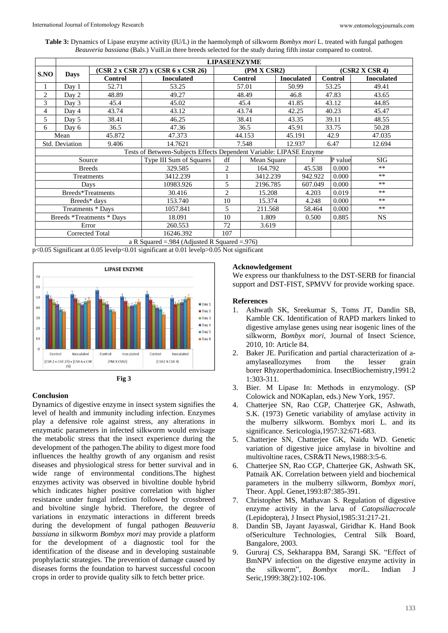**Table 3:** Dynamics of Lipase enzyme activity (IU/L) in the haemolymph of silkworm *Bombyx mori* L. treated with fungal pathogen *Beauveria bassiana* (Bals.) Vuill.in three breeds selected for the study during fifth instar compared to control.

|                                                                     | <b>LIPASEENZYME</b> |                                     |                                                     |                |             |                   |                |                  |         |                   |  |
|---------------------------------------------------------------------|---------------------|-------------------------------------|-----------------------------------------------------|----------------|-------------|-------------------|----------------|------------------|---------|-------------------|--|
| S.NO                                                                | <b>Days</b>         | (CSR 2 x CSR 27) x (CSR 6 x CSR 26) | (PM X CSR2)                                         |                |             |                   | (CSR2 X CSR 4) |                  |         |                   |  |
|                                                                     |                     | <b>Control</b>                      | <b>Inoculated</b>                                   | <b>Control</b> |             | <b>Inoculated</b> |                | Control          |         | <b>Inoculated</b> |  |
|                                                                     | Day 1               | 52.71                               | 53.25                                               | 57.01          |             | 50.99             |                | 53.25            |         | 49.41             |  |
| 2                                                                   | Day 2               | 48.89                               | 49.27                                               |                | 48.49       |                   | 46.8           |                  | 47.83   | 43.65             |  |
| 3                                                                   | Day 3               | 45.4                                | 45.02                                               |                | 45.4        | 41.85             |                | 43.12            |         | 44.85             |  |
| 4                                                                   | Day 4               | 43.74                               | 43.12                                               |                | 43.74       |                   | 42.25          | 40.23            |         | 45.47             |  |
| 5                                                                   | Day 5               | 38.41                               | 46.25                                               |                | 38.41       |                   | 43.35          |                  | 39.11   | 48.55             |  |
| 6                                                                   | Day 6               | 36.5                                | 47.36                                               |                | 36.5        |                   | 45.91          |                  | 33.75   | 50.28             |  |
|                                                                     | Mean                | 45.872                              | 47.373                                              |                | 44.153      |                   | 45.191         |                  | 42.9    | 47.035            |  |
| <b>Std. Deviation</b><br>9.406                                      |                     |                                     | 14.7621                                             | 7.548          |             |                   | 12.937         |                  | 6.47    | 12.694            |  |
| Tests of Between-Subjects Effects Dependent Variable: LIPASE Enzyme |                     |                                     |                                                     |                |             |                   |                |                  |         |                   |  |
| Source                                                              |                     |                                     | Type III Sum of Squares                             | df             | Mean Square |                   | F              |                  | P value | <b>SIG</b>        |  |
| <b>Breeds</b>                                                       |                     |                                     | 329.585                                             | $\overline{c}$ | 164.792     |                   |                | 0.000<br>45.538  |         | **                |  |
| Treatments                                                          |                     |                                     | 3412.239                                            |                | 3412.239    |                   |                | 0.000<br>942.922 |         | $***$             |  |
|                                                                     |                     | Days                                | 10983.926                                           | 5              | 2196.785    |                   | 607.049        |                  | 0.000   | **                |  |
|                                                                     | Breeds*Treatments   |                                     | 30.416                                              | $\overline{c}$ | 15.208      |                   | 4.203          |                  | 0.019   | **                |  |
| Breeds* days                                                        |                     | 153.740                             | 10                                                  | 15.374         |             | 4.248             |                | 0.000            | $**$    |                   |  |
| Treatments * Days                                                   |                     | 1057.841                            | 5                                                   | 211.568        |             | 58.464            |                | 0.000            | **      |                   |  |
| Breeds *Treatments * Days                                           |                     | 18.091                              | 10                                                  | 1.809          |             | 0.500             |                | 0.885            | NS.     |                   |  |
| Error                                                               |                     |                                     | 260.553                                             | 72<br>3.619    |             |                   |                |                  |         |                   |  |
| <b>Corrected Total</b>                                              |                     |                                     | 16246.392                                           | 107            |             |                   |                |                  |         |                   |  |
|                                                                     |                     |                                     | a R Squared = $.984$ (Adjusted R Squared = $.976$ ) |                |             |                   |                |                  |         |                   |  |

p<0.05 Significant at 0.05 levelp<0.01 significant at 0.01 levelp>0.05 Not significant



# **Conclusion**

Dynamics of digestive enzyme in insect system signifies the level of health and immunity including infection. Enzymes play a defensive role against stress, any alterations in enzymatic parameters in infected silkworm would envisage the metabolic stress that the insect experience during the development of the pathogen.The ability to digest more food influences the healthy growth of any organism and resist diseases and physiological stress for better survival and in wide range of environmental conditions.The highest enzymes activity was observed in bivoltine double hybrid which indicates higher positive correlation with higher resistance under fungal infection followed by crossbreed and bivoltine single hybrid. Therefore, the degree of variations in enzymatic interactions in different breeds during the development of fungal pathogen *Beauveria bassiana* in silkworm *Bombyx mori* may provide a platform for the development of a diagnostic tool for the identification of the disease and in developing sustainable prophylactic strategies. The prevention of damage caused by diseases forms the foundation to harvest successful cocoon crops in order to provide quality silk to fetch better price.

## **Acknowledgement**

We express our thankfulness to the DST-SERB for financial support and DST-FIST, SPMVV for provide working space.

#### **References**

- 1. Ashwath SK, Sreekumar S, Toms JT, Dandin SB, Kamble CK. Identification of RAPD markers linked to digestive amylase genes using near isogenic lines of the silkworm, *Bombyx mori,* Journal of Insect Science, 2010, 10: Article 84.
- 2. Baker JE. Purification and partial characterization of aamylaseallozymes from the lesser grain borer Rhyzoperthadominica. InsectBiochemistry,1991:2 1:303-311.
- 3. Bier. M Lipase In: Methods in enzymology. (SP Colowick and NOKaplan, eds.) New York, 1957.
- 4. Chatterjee SN, Rao CGP, Chatterjee GK, Ashwath, S.K. (1973) Genetic variability of amylase activity in the mulberry silkworm. Bombyx mori L. and its significance. Sericologia,1957:32:671-683.
- 5. Chatterjee SN, Chatterjee GK, Naidu WD. Genetic variation of digestive juice amylase in bivoltine and multivoltine races, CSR&TI News,1988:3:5-6.
- 6. Chatterjee SN, Rao CGP, Chatterjee GK, Ashwath SK, Patnaik AK. Correlation between yield and biochemical parameters in the mulberry silkworm, *Bombyx mori*, Theor. Appl. Genet,1993:87:385-391.
- 7. Christopher MS, Mathavan S. Regulation of digestive enzyme activity in the larva of *Catopsiliacrocale* (Lepidoptera), J Insect Physiol,1985:31:217-21.
- 8. Dandin SB, Jayant Jayaswal, Giridhar K. Hand Book ofSericulture Technologies, Central Silk Board, Bangalore, 2003.
- 9. Gururaj CS, Sekharappa BM, Sarangi SK. "Effect of BmNPV infection on the digestive enzyme activity in the silkworm", *Bombyx mori*L. Indian J Seric,1999:38(2):102-106.